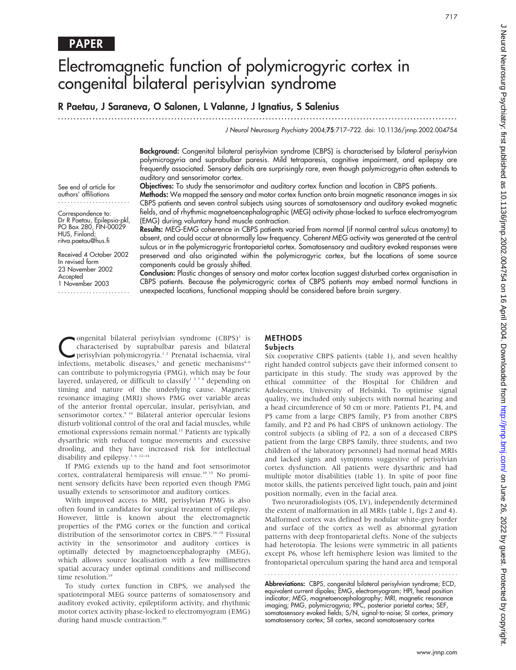# Electromagnetic function of polymicrogyric cortex in congenital bilateral perisylvian syndrome

# R Paetau, J Saraneva, O Salonen, L Valanne, J Ignatius, S Salenius

.............................................................................................................................. .

J Neurol Neurosurg Psychiatry 2004;75:717–722. doi: 10.1136/jnnp.2002.004754

Background: Congenital bilateral perisylvian syndrome (CBPS) is characterised by bilateral perisylvian polymicrogyria and suprabulbar paresis. Mild tetraparesis, cognitive impairment, and epilepsy are frequently associated. Sensory deficits are surprisingly rare, even though polymicrogyria often extends to auditory and sensorimotor cortex.

Objectives: To study the sensorimotor and auditory cortex function and location in CBPS patients.

Methods: We mapped the sensory and motor cortex function onto brain magnetic resonance images in six CBPS patients and seven control subjects using sources of somatosensory and auditory evoked magnetic fields, and of rhythmic magnetoencephalographic (MEG) activity phase-locked to surface electromyogram (EMG) during voluntary hand muscle contraction.

Correspondence to: Dr R Paetau, Epilepsia-pkl, PO Box 280, FIN-00029 HUS, Finland; ritva.paetau@hus.fi

Received 4 October 2002 In revised form 23 November 2002 **Accepted** 1 November 2003

.......................

Results: MEG-EMG coherence in CBPS patients varied from normal (if normal central sulcus anatomy) to absent, and could occur at abnormally low frequency. Coherent MEG activity was generated at the central sulcus or in the polymicrogyric frontoparietal cortex. Somatosensory and auditory evoked responses were preserved and also originated within the polymicrogyric cortex, but the locations of some source components could be grossly shifted.

Conclusion: Plastic changes of sensory and motor cortex location suggest disturbed cortex organisation in CBPS patients. Because the polymicrogyric cortex of CBPS patients may embed normal functions in unexpected locations, functional mapping should be considered before brain surgery.

Congenital bilateral perisylvian syndrome (CBPS)<sup>1</sup> is<br>characterised by suprabulbar paresis and bilateral<br>perisylvian polymicrogyria.<sup>1,2</sup> Prenatal ischaemia, viral<br>infections metabolis diseases<sup>3</sup> and genetic mechanisms<sup>4</sup> characterised by suprabulbar paresis and bilateral infections, metabolic diseases, $3$  and genetic mechanisms $4-6$ can contribute to polymicrogyria (PMG), which may be four layered, unlayered, or difficult to classify<sup>1378</sup> depending on timing and nature of the underlying cause. Magnetic resonance imaging (MRI) shows PMG over variable areas of the anterior frontal opercular, insular, perisylvian, and sensorimotor cortex.<sup>9 10</sup> Bilateral anterior opercular lesions disturb volitional control of the oral and facial muscles, while emotional expressions remain normal.<sup>11</sup> Patients are typically dysarthric with reduced tongue movements and excessive drooling, and they have increased risk for intellectual disability and epilepsy.<sup>1 6 12-14</sup>

If PMG extends up to the hand and foot sensorimotor cortex, contralateral hemiparesis will ensue.<sup>10 15</sup> No prominent sensory deficits have been reported even though PMG usually extends to sensorimotor and auditory cortices.

With improved access to MRI, perisylvian PMG is also often found in candidates for surgical treatment of epilepsy. However, little is known about the electromagnetic properties of the PMG cortex or the function and cortical distribution of the sensorimotor cortex in CBPS.<sup>16–18</sup> Fissural activity in the sensorimotor and auditory cortices is optimally detected by magnetoencephalography (MEG), which allows source localisation with a few millimetres spatial accuracy under optimal conditions and millisecond time resolution.<sup>19</sup>

To study cortex function in CBPS, we analysed the spatiotemporal MEG source patterns of somatosensory and auditory evoked activity, epileptiform activity, and rhythmic motor cortex activity phase-locked to electromyogram (EMG) during hand muscle contraction.<sup>20</sup>

#### METHODS **Subjects**

Six cooperative CBPS patients (table 1), and seven healthy right handed control subjects gave their informed consent to participate in this study. The study was approved by the ethical committee of the Hospital for Children and Adolescents, University of Helsinki. To optimise signal quality, we included only subjects with normal hearing and a head circumference of 50 cm or more. Patients P1, P4, and P5 came from a large CBPS family, P3 from another CBPS family, and P2 and P6 had CBPS of unknown aetiology. The control subjects (a sibling of P2, a son of a deceased CBPS patient from the large CBPS family, three students, and two children of the laboratory personnel) had normal head MRIs and lacked signs and symptoms suggestive of perisylvian cortex dysfunction. All patients were dysarthric and had multiple motor disabilities (table 1). In spite of poor fine motor skills, the patients perceived light touch, pain and joint position normally, even in the facial area.

Two neuroradiologists (OS, LV), independently determined the extent of malformation in all MRIs (table 1, figs 2 and 4). Malformed cortex was defined by nodular white-grey border and surface of the cortex as well as abnormal gyration patterns with deep frontoparietal clefts. None of the subjects had heterotopia. The lesions were symmetric in all patients except P6, whose left hemisphere lesion was limited to the frontoparietal operculum sparing the hand area and temporal

Abbreviations: CBPS, congenital bilateral perisylvian syndrome; ECD, equivalent current dipoles; EMG, electromyogram; HPI, head position indicator; MEG, magnetoencephalography; MRI, magnetic resonance imaging; PMG, polymicrogyria; PPC, posterior parietal cortex; SEF, somatosensory evoked fields; S/N, signal-to-noise; SI cortex, primary somatosensory cortex; SII cortex, second somatosensory cortex

www.jnnp.com

authors' affiliations .......................

See end of article for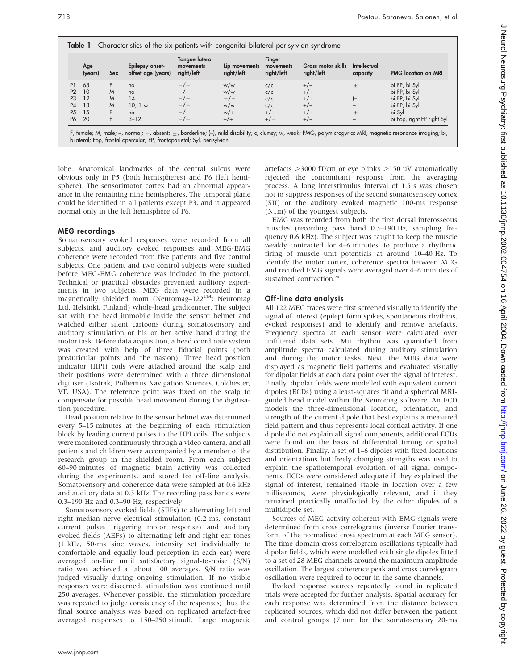|                | Age<br>(years) | <b>Sex</b> | Epilepsy onset-<br>offset age (years) | Tongue lateral<br>movements<br>right/left | Lip movements<br>right/left | Finger<br>movements<br>right/left | Gross motor skills<br>right/left | Intellectual<br>capacity | <b>PMG</b> location on MRI |
|----------------|----------------|------------|---------------------------------------|-------------------------------------------|-----------------------------|-----------------------------------|----------------------------------|--------------------------|----------------------------|
| P <sub>1</sub> | 68             | F          | no                                    | $-/-$                                     | w/w                         | c/c                               | $+/-$                            | $\pm$                    | bi FP, bi Syl              |
| P <sub>2</sub> | 10             | M          | no                                    |                                           | w/w                         | c/c                               | $+/-$                            | $^{+}$                   | bi FP, bi Syl              |
| P <sub>3</sub> | 12             | M          | 14                                    | $-/-$                                     | $-/-$                       | c/c                               | $+/-$                            | $(-)$                    | bi FP, bi Syl              |
| P <sub>4</sub> | 13             | M          | $10.1$ sz                             |                                           | w/w                         | c/c                               | $+/-$                            | $^{+}$                   | bi FP, bi Syl              |
| P <sub>5</sub> | 15             |            | no                                    | $-1$                                      | $w/+$                       | $+/-$                             | $+/-$                            | $\pm$                    | bi Syl                     |
| P <sub>6</sub> | 20             | F          | $3 - 12$                              | $-/-$                                     | $+/-$                       | $+/-$                             | $+/-$                            | $^{+}$                   | bi Fop, right FP right Syl |

lobe. Anatomical landmarks of the central sulcus were obvious only in P5 (both hemispheres) and P6 (left hemisphere). The sensorimotor cortex had an abnormal appearance in the remaining nine hemispheres. The temporal plane could be identified in all patients except P3, and it appeared normal only in the left hemisphere of P6.

#### MEG recordings

Somatosensory evoked responses were recorded from all subjects, and auditory evoked responses and MEG-EMG coherence were recorded from five patients and five control subjects. One patient and two control subjects were studied before MEG-EMG coherence was included in the protocol. Technical or practical obstacles prevented auditory experiments in two subjects. MEG data were recorded in a magnetically shielded room (Neuromag–122<sup>TM</sup>; Neuromag Ltd, Helsinki, Finland) whole-head gradiometer. The subject sat with the head immobile inside the sensor helmet and watched either silent cartoons during somatosensory and auditory stimulation or his or her active hand during the motor task. Before data acquisition, a head coordinate system was created with help of three fiducial points (both preauricular points and the nasion). Three head position indicator (HPI) coils were attached around the scalp and their positions were determined with a three dimensional digitiser (Isotrak; Polhemus Navigation Sciences, Colchester, VT, USA). The reference point was fixed on the scalp to compensate for possible head movement during the digitisation procedure.

Head position relative to the sensor helmet was determined every 5–15 minutes at the beginning of each stimulation block by leading current pulses to the HPI coils. The subjects were monitored continuously through a video camera, and all patients and children were accompanied by a member of the research group in the shielded room. From each subject 60–90 minutes of magnetic brain activity was collected during the experiments, and stored for off-line analysis. Somatosensory and coherence data were sampled at 0.6 kHz and auditory data at 0.3 kHz. The recording pass bands were 0.3–190 Hz and 0.3–90 Hz, respectively.

Somatosensory evoked fields (SEFs) to alternating left and right median nerve electrical stimulation (0.2-ms, constant current pulses triggering motor response) and auditory evoked fields (AEFs) to alternating left and right ear tones (1 kHz, 50-ms sine waves, intensity set individually to comfortable and equally loud perception in each ear) were averaged on-line until satisfactory signal-to-noise (S/N) ratio was achieved at about 100 averages. S/N ratio was judged visually during ongoing stimulation. If no visible responses were discerned, stimulation was continued until 250 averages. Whenever possible, the stimulation procedure was repeated to judge consistency of the responses; thus the final source analysis was based on replicated artefact-free averaged responses to 150–250 stimuli. Large magnetic artefacts  $>$ 3000 fT/cm or eye blinks  $>$ 150 uV automatically rejected the concomitant response from the averaging process. A long interstimulus interval of 1.5 s was chosen not to suppress responses of the second somatosensory cortex (SII) or the auditory evoked magnetic 100-ms response (N1m) of the youngest subjects.

EMG was recorded from both the first dorsal interosseous muscles (recording pass band 0.3–190 Hz, sampling frequency 0.6 kHz). The subject was taught to keep the muscle weakly contracted for 4–6 minutes, to produce a rhythmic firing of muscle unit potentials at around 10–40 Hz. To identify the motor cortex, coherence spectra between MEG and rectified EMG signals were averaged over 4–6 minutes of sustained contraction.<sup>20</sup>

## Off-line data analysis

All 122 MEG traces were first screened visually to identify the signal of interest (epileptiform spikes, spontaneous rhythms, evoked responses) and to identify and remove artefacts. Frequency spectra at each sensor were calculated over unfiltered data sets. Mu rhythm was quantified from amplitude spectra calculated during auditory stimulation and during the motor tasks. Next, the MEG data were displayed as magnetic field patterns and evaluated visually for dipolar fields at each data point over the signal of interest. Finally, dipolar fields were modelled with equivalent current dipoles (ECDs) using a least-squares fit and a spherical MRIguided head model within the Neuromag software. An ECD models the three-dimensional location, orientation, and strength of the current dipole that best explains a measured field pattern and thus represents local cortical activity. If one dipole did not explain all signal components, additional ECDs were found on the basis of differential timing or spatial distribution. Finally, a set of 1–6 dipoles with fixed locations and orientations but freely changing strengths was used to explain the spatiotemporal evolution of all signal components. ECDs were considered adequate if they explained the signal of interest, remained stable in location over a few milliseconds, were physiologically relevant, and if they remained practically unaffected by the other dipoles of a multidipole set.

Sources of MEG activity coherent with EMG signals were determined from cross correlograms (inverse Fourier transform of the normalised cross spectrum at each MEG sensor). The time-domain cross correlogram oscillations typically had dipolar fields, which were modelled with single dipoles fitted to a set of 28 MEG channels around the maximum amplitude oscillation. The largest coherence peak and cross correlogram oscillation were required to occur in the same channels.

Evoked response sources repeatedly found in replicated trials were accepted for further analysis. Spatial accuracy for each response was determined from the distance between replicated sources, which did not differ between the patient and control groups (7 mm for the somatosensory 20-ms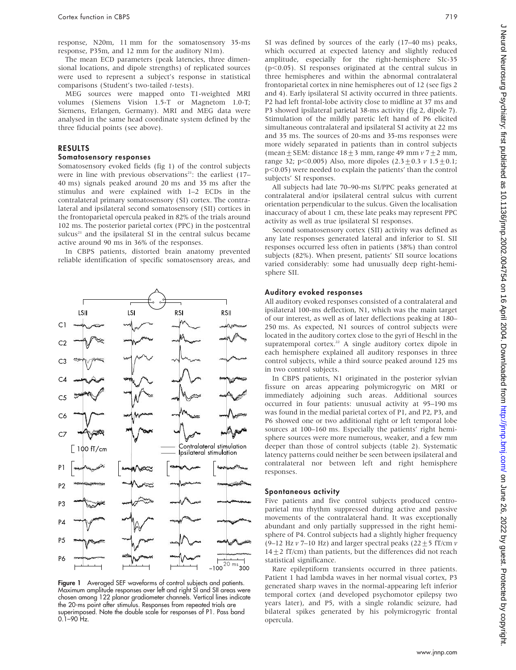response, N20m, 11 mm for the somatosensory 35-ms response, P35m, and 12 mm for the auditory N1m).

The mean ECD parameters (peak latencies, three dimensional locations, and dipole strengths) of replicated sources were used to represent a subject's response in statistical comparisons (Student's two-tailed t-tests).

MEG sources were mapped onto T1-weighted MRI volumes (Siemens Vision 1.5-T or Magnetom 1.0-T; Siemens, Erlangen, Germany). MRI and MEG data were analysed in the same head coordinate system defined by the three fiducial points (see above).

# RESULTS

#### Somatosensory responses

Somatosensory evoked fields (fig 1) of the control subjects were in line with previous observations<sup>21</sup>: the earliest  $(17-$ 40 ms) signals peaked around 20 ms and 35 ms after the stimulus and were explained with 1–2 ECDs in the contralateral primary somatosensory (SI) cortex. The contralateral and ipsilateral second somatosensory (SII) cortices in the frontoparietal opercula peaked in 82% of the trials around 102 ms. The posterior parietal cortex (PPC) in the postcentral sulcus $21$  and the ipsilateral SI in the central sulcus became active around 90 ms in 36% of the responses.

In CBPS patients, distorted brain anatomy prevented reliable identification of specific somatosensory areas, and



Figure 1 Averaged SEF waveforms of control subjects and patients. Maximum amplitude responses over left and right SI and SII areas were chosen among 122 planar gradiometer channels. Vertical lines indicate the 20-ms point after stimulus. Responses from repeated trials are superimposed. Note the double scale for responses of P1. Pass band  $0.1 - 90$  Hz.

SI was defined by sources of the early (17–40 ms) peaks, which occurred at expected latency and slightly reduced amplitude, especially for the right-hemisphere SIc-35 ( $p$ <0.05). SI responses originated at the central sulcus in three hemispheres and within the abnormal contralateral frontoparietal cortex in nine hemispheres out of 12 (see figs 2 and 4). Early ipsilateral SI activity occurred in three patients. P2 had left frontal-lobe activity close to midline at 37 ms and P3 showed ipsilateral parietal 38-ms activity (fig 2, dipole 7). Stimulation of the mildly paretic left hand of P6 elicited simultaneous contralateral and ipsilateral SI activity at 22 ms and 35 ms. The sources of 20-ms and 35-ms responses were more widely separated in patients than in control subjects (mean  $\pm$  SEM: distance 18 $\pm$ 3 mm, range 49 mm v 7 $\pm$ 2 mm, range 32; p<0.005) Also, more dipoles  $(2.3 \pm 0.3 \text{ v } 1.5 \pm 0.1;$  $p<0.05$ ) were needed to explain the patients' than the control subjects' SI responses.

All subjects had late 70–90-ms SI/PPC peaks generated at contralateral and/or ipsilateral central sulcus with current orientation perpendicular to the sulcus. Given the localisation inaccuracy of about 1 cm, these late peaks may represent PPC activity as well as true ipsilateral SI responses.

Second somatosensory cortex (SII) activity was defined as any late responses generated lateral and inferior to SI. SII responses occurred less often in patients (38%) than control subjects (82%). When present, patients' SII source locations varied considerably: some had unusually deep right-hemisphere SII.

#### Auditory evoked responses

All auditory evoked responses consisted of a contralateral and ipsilateral 100-ms deflection, N1, which was the main target of our interest, as well as of later deflections peaking at 180– 250 ms. As expected, N1 sources of control subjects were located in the auditory cortex close to the gyri of Heschl in the supratemporal cortex.<sup>22</sup> A single auditory cortex dipole in each hemisphere explained all auditory responses in three control subjects, while a third source peaked around 125 ms in two control subjects.

In CBPS patients, N1 originated in the posterior sylvian fissure on areas appearing polymicrogyric on MRI or immediately adjoining such areas. Additional sources occurred in four patients: unusual activity at 95–190 ms was found in the medial parietal cortex of P1, and P2, P3, and P6 showed one or two additional right or left temporal lobe sources at 100–160 ms. Especially the patients' right hemisphere sources were more numerous, weaker, and a few mm deeper than those of control subjects (table 2). Systematic latency patterns could neither be seen between ipsilateral and contralateral nor between left and right hemisphere responses.

#### Spontaneous activity

Five patients and five control subjects produced centroparietal mu rhythm suppressed during active and passive movements of the contralateral hand. It was exceptionally abundant and only partially suppressed in the right hemisphere of P4. Control subjects had a slightly higher frequency (9–12 Hz  $v$  7–10 Hz) and larger spectral peaks (22  $\pm$  5 fT/cm  $v$ )  $14+2$  fT/cm) than patients, but the differences did not reach statistical significance.

Rare epileptiform transients occurred in three patients. Patient 1 had lambda waves in her normal visual cortex, P3 generated sharp waves in the normal-appearing left inferior temporal cortex (and developed psychomotor epilepsy two years later), and P5, with a single rolandic seizure, had bilateral spikes generated by his polymicrogyric frontal opercula.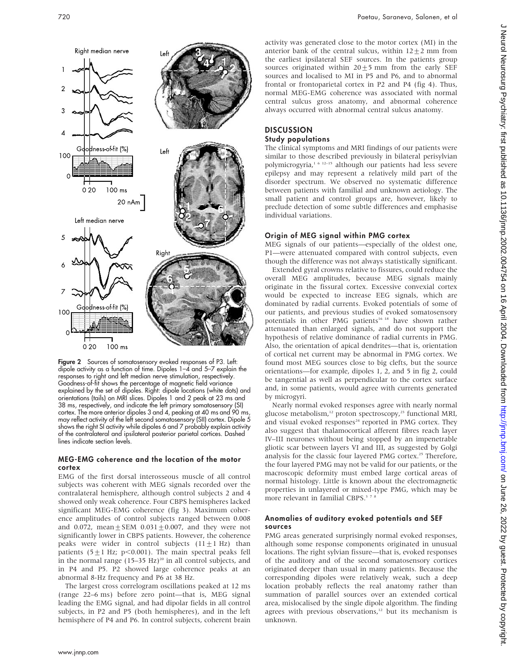

Figure 2 Sources of somatosensory evoked responses of P3. Left: dipole activity as a function of time. Dipoles  $1-\overline{4}$  and  $5-\overline{7}$  explain the responses to right and left median nerve stimulation, respectively. Goodness-of-fit shows the percentage of magnetic field variance explained by the set of dipoles. Right: dipole locations (white dots) and orientations (tails) on MRI slices. Dipoles 1 and 2 peak at 23 ms and 38 ms, respectively, and indicate the left primary somatosensory (SI) cortex. The more anterior dipoles 3 and 4, peaking at 40 ms and 90 ms may reflect activity of the left second somatosensory (SII) cortex. Dipole 5 shows the right SI activity while dipoles 6 and 7 probably explain activity of the contralateral and ipsilateral posterior parietal cortices. Dashed lines indicate section levels.

#### MEG-EMG coherence and the location of the motor cortex

EMG of the first dorsal interosseous muscle of all control subjects was coherent with MEG signals recorded over the contralateral hemisphere, although control subjects 2 and 4 showed only weak coherence. Four CBPS hemispheres lacked significant MEG-EMG coherence (fig 3). Maximum coherence amplitudes of control subjects ranged between 0.008 and 0.072, mean  $\pm$  SEM 0.031 $\pm$ 0.007, and they were not significantly lower in CBPS patients. However, the coherence peaks were wider in control subjects  $(11 \pm 1 \text{ Hz})$  than patients (5 $\pm$ 1 Hz; p<0.001). The main spectral peaks fell in the normal range  $(15-35 \text{ Hz})^{20}$  in all control subjects, and in P4 and P5. P2 showed large coherence peaks at an abnormal 8-Hz frequency and P6 at 38 Hz.

The largest cross correlogram oscillations peaked at 12 ms (range 22–6 ms) before zero point—that is, MEG signal leading the EMG signal, and had dipolar fields in all control subjects, in P2 and P5 (both hemispheres), and in the left hemisphere of P4 and P6. In control subjects, coherent brain activity was generated close to the motor cortex (MI) in the anterior bank of the central sulcus, within  $12 \pm 2$  mm from the earliest ipsilateral SEF sources. In the patients group sources originated within  $20 \pm 5$  mm from the early SEF sources and localised to MI in P5 and P6, and to abnormal frontal or frontoparietal cortex in P2 and P4 (fig 4). Thus, normal MEG-EMG coherence was associated with normal central sulcus gross anatomy, and abnormal coherence always occurred with abnormal central sulcus anatomy.

# **DISCUSSION** Study populations

The clinical symptoms and MRI findings of our patients were similar to those described previously in bilateral perisylvian polymicrogyria,1 6 12–15 although our patients had less severe epilepsy and may represent a relatively mild part of the disorder spectrum. We observed no systematic difference between patients with familial and unknown aetiology. The small patient and control groups are, however, likely to preclude detection of some subtle differences and emphasise individual variations.

# Origin of MEG signal within PMG cortex

MEG signals of our patients—especially of the oldest one, P1—were attenuated compared with control subjects, even though the difference was not always statistically significant.

Extended gyral crowns relative to fissures, could reduce the overall MEG amplitudes, because MEG signals mainly originate in the fissural cortex. Excessive convexial cortex would be expected to increase EEG signals, which are dominated by radial currents. Evoked potentials of some of our patients, and previous studies of evoked somatosensory potentials in other PMG patients<sup>16 18</sup> have shown rather attenuated than enlarged signals, and do not support the hypothesis of relative dominance of radial currents in PMG. Also, the orientation of apical dendrites—that is, orientation of cortical net current may be abnormal in PMG cortex. We found most MEG sources close to big clefts, but the source orientations—for example, dipoles 1, 2, and 5 in fig 2, could be tangential as well as perpendicular to the cortex surface and, in some patients, would agree with currents generated by microgyri.

Nearly normal evoked responses agree with nearly normal glucose metabolism,<sup>12</sup> proton spectroscopy,<sup>23</sup> functional MRI, and visual evoked responses<sup>24</sup> reported in PMG cortex. They also suggest that thalamocortical afferent fibres reach layer IV–III neurones without being stopped by an impenetrable gliotic scar between layers VI and III, as suggested by Golgi analysis for the classic four layered PMG cortex.<sup>25</sup> Therefore, the four layered PMG may not be valid for our patients, or the macroscopic deformity must embed large cortical areas of normal histology. Little is known about the electromagnetic properties in unlayered or mixed-type PMG, which may be more relevant in familial CBPS.<sup>378</sup>

# Anomalies of auditory evoked potentials and SEF sources

PMG areas generated surprisingly normal evoked responses, although some response components originated in unusual locations. The right sylvian fissure—that is, evoked responses of the auditory and of the second somatosensory cortices originated deeper than usual in many patients. Because the corresponding dipoles were relatively weak, such a deep location probably reflects the real anatomy rather than summation of parallel sources over an extended cortical area, mislocalised by the single dipole algorithm. The finding agrees with previous observations,<sup>12</sup> but its mechanism is unknown.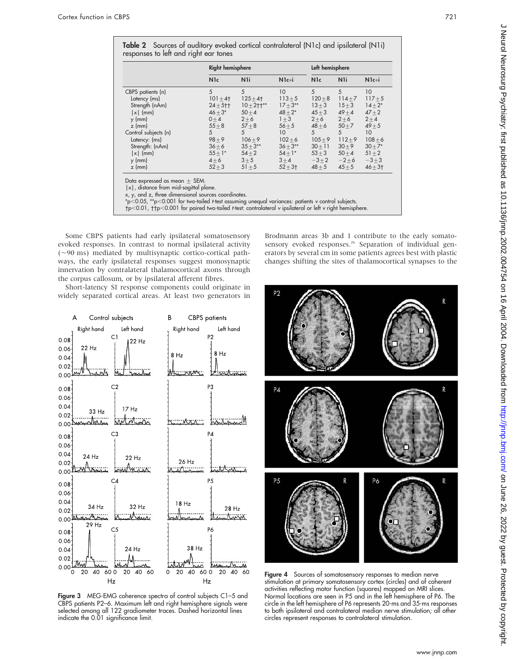|                      | <b>Right hemisphere</b> |                |                 | Left hemisphere  |                |                 |  |
|----------------------|-------------------------|----------------|-----------------|------------------|----------------|-----------------|--|
|                      | <b>N</b> <sub>1</sub> c | N <sub>1</sub> | $N1c+i$         | N <sub>1</sub> c | N <sub>1</sub> | $N1c+i$         |  |
| CBPS patients (n)    | 5                       | 5              | 10              | $\overline{5}$   | 5              | 10 <sup>°</sup> |  |
| Latency (ms)         | $101 \pm 4$             | $125 + 4$      | $113 + 5$       | $120 + 8$        | $114 + 7$      | $117 + 5$       |  |
| Strength (nAm)       | $24 + 5 +$              | $10 + 2 + 1**$ | $17 + 3**$      | $13 + 3$         | $15 + 3$       | $14 + 2*$       |  |
| $ x $ (mm)           | $46 + 3*$               | $50 + 4$       | $48 + 2*$       | $45 + 3$         | $49 + 4$       | $47 + 2$        |  |
| $y$ (mm)             | $0 + 4$                 | $2 + 6$        | $1 + 3$         | $2 + 6$          | $2 + 6$        | $2 + 4$         |  |
| $z$ (mm)             | $55 + 8$                | $57 + 8$       | $56 + 5$        | $48 \pm 6$       | $50 + 7$       | $49 + 5$        |  |
| Control subjects (n) | 5                       | 5              | 10 <sup>°</sup> | 5                | 5              | 10 <sup>°</sup> |  |
| Latency: (ms)        | $98 + 9$                | $106 + 9$      | $102 + 6$       | $105 + 9$        | $112 + 9$      | $108 + 6$       |  |
| Strength: (nAm)      | $36 + 6$                | $35 + 3**$     | $36 + 3**$      | $30 + 11$        | $30 + 9$       | $30 + 7*$       |  |
| $ x $ (mm)           | $55+1*$                 | $54\pm2$       | $54 + 1*$       | $53 + 3$         | $50 + 4$       | $51 + 2$        |  |
| $y$ (mm)             | $4 + 6$                 | $3 \pm 5$      | $3 + 4$         | $-3\pm 2$        | $-2+6$         | $-3+3$          |  |
| $z$ (mm)             | $52 + 3$                | $51 + 5$       | $52 + 3 +$      | $48 + 5$         | $45 \pm 5$     | $46 + 31$       |  |

x, y, and z, three dimensional sources coordinates.

 $*p$ <0.05,  $*p$ <0.001 for two-tailed t-test assuming unequal variances: patients v control subjects.

p, 1.00, p, 1.0001 for paired two-tailed t-test: contralateral v ipsilateral or left v right hemisphere.

Some CBPS patients had early ipsilateral somatosensory evoked responses. In contrast to normal ipsilateral activity  $(-90 \text{ ms})$  mediated by multisynaptic cortico-cortical pathways, the early ipsilateral responses suggest monosynaptic innervation by contralateral thalamocortical axons through the corpus callosum, or by ipsilateral afferent fibres.

Short-latency SI response components could originate in widely separated cortical areas. At least two generators in



Figure 3 MEG-EMG coherence spectra of control subjects C1-5 and CBPS patients P2–6. Maximum left and right hemisphere signals were selected among all 122 gradiometer traces. Dashed horizontal lines indicate the 0.01 significance limit.

Brodmann areas 3b and 1 contribute to the early somatosensory evoked responses.<sup>26</sup> Separation of individual generators by several cm in some patients agrees best with plastic changes shifting the sites of thalamocortical synapses to the



Figure 4 Sources of somatosensory responses to median nerve stimulation at primary somatosensory cortex (circles) and of coherent activities reflecting motor function (squares) mapped on MRI slices. Normal locations are seen in P5 and in the left hemisphere of P6. The circle in the left hemisphere of P6 represents 20-ms and 35-ms responses to both ipsilateral and contralateral median nerve stimulation; all other circles represent responses to contralateral stimulation.